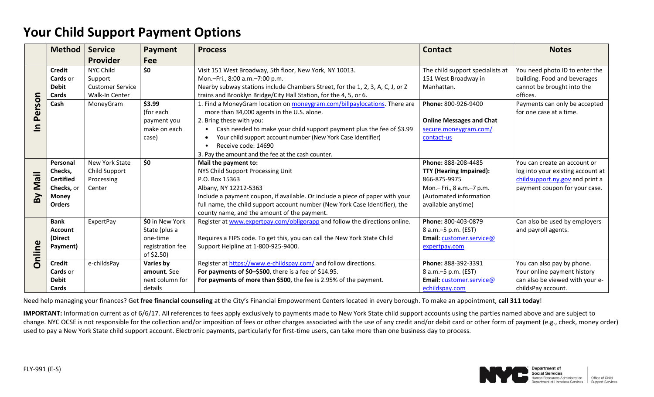## **Your Child Support Payment Options**

|                                  | Method            | <b>Service</b>          | Payment          | <b>Process</b>                                                                 | <b>Contact</b>                   | <b>Notes</b>                      |
|----------------------------------|-------------------|-------------------------|------------------|--------------------------------------------------------------------------------|----------------------------------|-----------------------------------|
|                                  |                   | Provider                | Fee              |                                                                                |                                  |                                   |
| rson<br>ē<br>A<br>$\blacksquare$ | <b>Credit</b>     | <b>NYC Child</b>        | \$0              | Visit 151 West Broadway, 5th floor, New York, NY 10013.                        | The child support specialists at | You need photo ID to enter the    |
|                                  | Cards or          | Support                 |                  | Mon.-Fri., 8:00 a.m.-7:00 p.m.                                                 | 151 West Broadway in             | building. Food and beverages      |
|                                  | <b>Debit</b>      | <b>Customer Service</b> |                  | Nearby subway stations include Chambers Street, for the 1, 2, 3, A, C, J, or Z | Manhattan.                       | cannot be brought into the        |
|                                  | Cards             | Walk-In Center          |                  | trains and Brooklyn Bridge/City Hall Station, for the 4, 5, or 6.              |                                  | offices.                          |
|                                  | Cash              | MoneyGram               | \$3.99           | 1. Find a MoneyGram location on moneygram.com/billpaylocations. There are      | Phone: 800-926-9400              | Payments can only be accepted     |
|                                  |                   |                         | (for each        | more than 34,000 agents in the U.S. alone.                                     |                                  | for one case at a time.           |
|                                  |                   |                         | payment you      | 2. Bring these with you:                                                       | <b>Online Messages and Chat</b>  |                                   |
|                                  |                   |                         | make on each     | Cash needed to make your child support payment plus the fee of \$3.99          | secure.moneygram.com/            |                                   |
|                                  |                   |                         | case)            | Your child support account number (New York Case Identifier)                   | contact-us                       |                                   |
|                                  |                   |                         |                  | Receive code: 14690                                                            |                                  |                                   |
|                                  |                   |                         |                  | 3. Pay the amount and the fee at the cash counter.                             |                                  |                                   |
| liew<br>By                       | Personal          | <b>New York State</b>   | \$0              | Mail the payment to:                                                           | Phone: 888-208-4485              | You can create an account or      |
|                                  | Checks,           | Child Support           |                  | NYS Child Support Processing Unit                                              | <b>TTY (Hearing Impaired):</b>   | log into your existing account at |
|                                  | <b>Certified</b>  | Processing              |                  | P.O. Box 15363                                                                 | 866-875-9975                     | childsupport.ny.gov and print a   |
|                                  | <b>Checks, or</b> | Center                  |                  | Albany, NY 12212-5363                                                          | Mon.- Fri., 8 a.m.-7 p.m.        | payment coupon for your case.     |
|                                  | <b>Money</b>      |                         |                  | Include a payment coupon, if available. Or include a piece of paper with your  | (Automated information           |                                   |
|                                  | <b>Orders</b>     |                         |                  | full name, the child support account number (New York Case Identifier), the    | available anytime)               |                                   |
|                                  |                   |                         |                  | county name, and the amount of the payment.                                    |                                  |                                   |
| Online                           | <b>Bank</b>       | ExpertPay               | \$0 in New York  | Register at www.expertpay.com/obligorapp and follow the directions online.     | Phone: 800-403-0879              | Can also be used by employers     |
|                                  | <b>Account</b>    |                         | State (plus a    |                                                                                | 8 a.m. - 5 p.m. (EST)            | and payroll agents.               |
|                                  | (Direct           |                         | one-time         | Requires a FIPS code. To get this, you can call the New York State Child       | Email: customer.service@         |                                   |
|                                  | Payment)          |                         | registration fee | Support Helpline at 1-800-925-9400.                                            | expertpay.com                    |                                   |
|                                  |                   |                         | of \$2.50)       |                                                                                |                                  |                                   |
|                                  | <b>Credit</b>     | e-childsPay             | Varies by        | Register at https://www.e-childspay.com/ and follow directions.                | Phone: 888-392-3391              | You can also pay by phone.        |
|                                  | <b>Cards</b> or   |                         | amount. See      | For payments of \$0-\$500, there is a fee of \$14.95.                          | 8 a.m. - 5 p.m. (EST)            | Your online payment history       |
|                                  | <b>Debit</b>      |                         | next column for  | For payments of more than \$500, the fee is 2.95% of the payment.              | Email: customer.service@         | can also be viewed with your e-   |
|                                  | Cards             |                         | details          |                                                                                | echildspay.com                   | childsPay account.                |

Need help managing your finances? Get **free financial counseling** at the City's Financial Empowerment Centers located in every borough. To make an appointment, **call 311 today**!

**IMPORTANT:** Information current as of 6/6/17. All references to fees apply exclusively to payments made to New York State child support accounts using the parties named above and are subject to change. NYC OCSE is not responsible for the collection and/or imposition of fees or other charges associated with the use of any credit and/or debit card or other form of payment (e.g., check, money order) used to pay a New York State child support account. Electronic payments, particularly for first-time users, can take more than one business day to process.